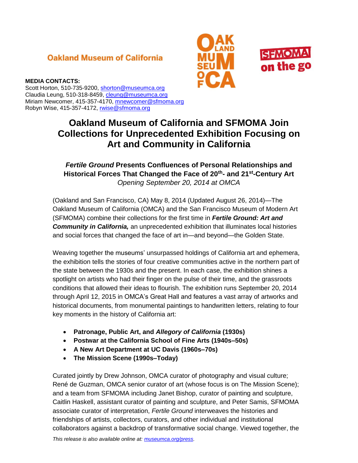# **Oakland Museum of California**





#### **MEDIA CONTACTS:**

Scott Horton, 510-735-9200, [shorton@museumca.org](mailto:shorton@museumca.org) Claudia Leung, 510-318-8459, [cleung@museumca.org](mailto:cleung@museumca.org) Miriam Newcomer, 415-357-4170, [mnewcomer@sfmoma.org](mailto:mnewcomer@sfmoma.org) Robyn Wise, 415-357-4172, [rwise@sfmoma.org](mailto:rwise@sfmoma.org)

# **Oakland Museum of California and SFMOMA Join Collections for Unprecedented Exhibition Focusing on Art and Community in California**

# *Fertile Ground* **Presents Confluences of Personal Relationships and Historical Forces That Changed the Face of 20th- and 21st-Century Art** *Opening September 20, 2014 at OMCA*

(Oakland and San Francisco, CA) May 8, 2014 (Updated August 26, 2014)*—*The Oakland Museum of California (OMCA) and the San Francisco Museum of Modern Art (SFMOMA) combine their collections for the first time in *Fertile Ground: Art and*  **Community in California,** an unprecedented exhibition that illuminates local histories and social forces that changed the face of art in—and beyond—the Golden State.

Weaving together the museums' unsurpassed holdings of California art and ephemera, the exhibition tells the stories of four creative communities active in the northern part of the state between the 1930s and the present. In each case, the exhibition shines a spotlight on artists who had their finger on the pulse of their time, and the grassroots conditions that allowed their ideas to flourish. The exhibition runs September 20, 2014 through April 12, 2015 in OMCA's Great Hall and features a vast array of artworks and historical documents, from monumental paintings to handwritten letters, relating to four key moments in the history of California art:

- **Patronage, Public Art, and** *Allegory of California* **(1930s)**
- **Postwar at the California School of Fine Arts (1940s–50s)**
- **A New Art Department at UC Davis (1960s–70s)**
- **The Mission Scene (1990s–Today)**

Curated jointly by Drew Johnson, OMCA curator of photography and visual culture; René de Guzman, OMCA senior curator of art (whose focus is on The Mission Scene); and a team from SFMOMA including Janet Bishop, curator of painting and sculpture, Caitlin Haskell, assistant curator of painting and sculpture, and Peter Samis, SFMOMA associate curator of interpretation, *Fertile Ground* interweaves the histories and friendships of artists, collectors, curators, and other individual and institutional collaborators against a backdrop of transformative social change. Viewed together, the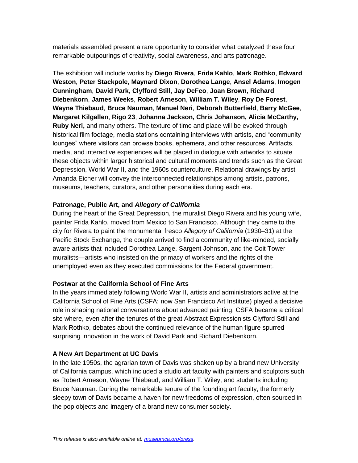materials assembled present a rare opportunity to consider what catalyzed these four remarkable outpourings of creativity, social awareness, and arts patronage.

The exhibition will include works by **Diego Rivera**, **Frida Kahlo**, **Mark Rothko**, **Edward Weston**, **Peter Stackpole**, **Maynard Dixon**, **Dorothea Lange**, **Ansel Adams**, **Imogen Cunningham**, **David Park**, **Clyfford Still**, **Jay DeFeo**, **Joan Brown**, **Richard Diebenkorn**, **James Weeks**, **Robert Arneson**, **William T. Wiley**, **Roy De Forest**, **Wayne Thiebaud**, **Bruce Nauman**, **Manuel Neri**, **Deborah Butterfield**, **Barry McGee**, **Margaret Kilgallen**, **Rigo 23**, **Johanna Jackson, Chris Johanson, Alicia McCarthy, Ruby Neri,** and many others. The texture of time and place will be evoked through historical film footage, media stations containing interviews with artists, and "community lounges" where visitors can browse books, ephemera, and other resources. Artifacts, media, and interactive experiences will be placed in dialogue with artworks to situate these objects within larger historical and cultural moments and trends such as the Great Depression, World War II, and the 1960s counterculture. Relational drawings by artist Amanda Eicher will convey the interconnected relationships among artists, patrons, museums, teachers, curators, and other personalities during each era.

#### **Patronage, Public Art, and** *Allegory of California*

During the heart of the Great Depression, the muralist Diego Rivera and his young wife, painter Frida Kahlo, moved from Mexico to San Francisco. Although they came to the city for Rivera to paint the monumental fresco *Allegory of California* (1930–31) at the Pacific Stock Exchange, the couple arrived to find a community of like-minded, socially aware artists that included Dorothea Lange, Sargent Johnson, and the Coit Tower muralists—artists who insisted on the primacy of workers and the rights of the unemployed even as they executed commissions for the Federal government.

#### **Postwar at the California School of Fine Arts**

In the years immediately following World War II, artists and administrators active at the California School of Fine Arts (CSFA; now San Francisco Art Institute) played a decisive role in shaping national conversations about advanced painting. CSFA became a critical site where, even after the tenures of the great Abstract Expressionists Clyfford Still and Mark Rothko, debates about the continued relevance of the human figure spurred surprising innovation in the work of David Park and Richard Diebenkorn.

#### **A New Art Department at UC Davis**

In the late 1950s, the agrarian town of Davis was shaken up by a brand new University of California campus, which included a studio art faculty with painters and sculptors such as Robert Arneson, Wayne Thiebaud, and William T. Wiley, and students including Bruce Nauman. During the remarkable tenure of the founding art faculty, the formerly sleepy town of Davis became a haven for new freedoms of expression, often sourced in the pop objects and imagery of a brand new consumer society.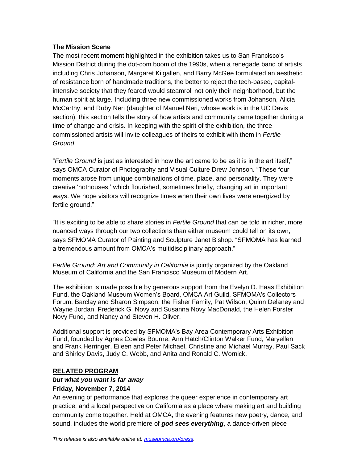#### **The Mission Scene**

The most recent moment highlighted in the exhibition takes us to San Francisco's Mission District during the dot-com boom of the 1990s, when a renegade band of artists including Chris Johanson, Margaret Kilgallen, and Barry McGee formulated an aesthetic of resistance born of handmade traditions, the better to reject the tech-based, capitalintensive society that they feared would steamroll not only their neighborhood, but the human spirit at large. Including three new commissioned works from Johanson, Alicia McCarthy, and Ruby Neri (daughter of Manuel Neri, whose work is in the UC Davis section), this section tells the story of how artists and community came together during a time of change and crisis. In keeping with the spirit of the exhibition, the three commissioned artists will invite colleagues of theirs to exhibit with them in *Fertile Ground*.

"*Fertile Ground* is just as interested in how the art came to be as it is in the art itself," says OMCA Curator of Photography and Visual Culture Drew Johnson. "These four moments arose from unique combinations of time, place, and personality. They were creative 'hothouses,' which flourished, sometimes briefly, changing art in important ways. We hope visitors will recognize times when their own lives were energized by fertile ground."

"It is exciting to be able to share stories in *Fertile Ground* that can be told in richer, more nuanced ways through our two collections than either museum could tell on its own," says SFMOMA Curator of Painting and Sculpture Janet Bishop. "SFMOMA has learned a tremendous amount from OMCA's multidisciplinary approach."

*Fertile Ground: Art and Community in California* is jointly organized by the Oakland Museum of California and the San Francisco Museum of Modern Art.

The exhibition is made possible by generous support from the Evelyn D. Haas Exhibition Fund, the Oakland Museum Women's Board, OMCA Art Guild, SFMOMA's Collectors Forum, Barclay and Sharon Simpson, the Fisher Family, Pat Wilson, Quinn Delaney and Wayne Jordan, Frederick G. Novy and Susanna Novy MacDonald, the Helen Forster Novy Fund, and Nancy and Steven H. Oliver.

Additional support is provided by SFMOMA's Bay Area Contemporary Arts Exhibition Fund, founded by Agnes Cowles Bourne, Ann Hatch/Clinton Walker Fund, Maryellen and Frank Herringer, Eileen and Peter Michael, Christine and Michael Murray, Paul Sack and Shirley Davis, Judy C. Webb, and Anita and Ronald C. Wornick.

#### **RELATED PROGRAM**

#### *but what you want is far away* **Friday, November 7, 2014**

An evening of performance that explores the queer experience in contemporary art practice, and a local perspective on California as a place where making art and building community come together*.* Held at OMCA, the evening features new poetry, dance, and sound, includes the world premiere of *god sees everything*, a dance-driven piece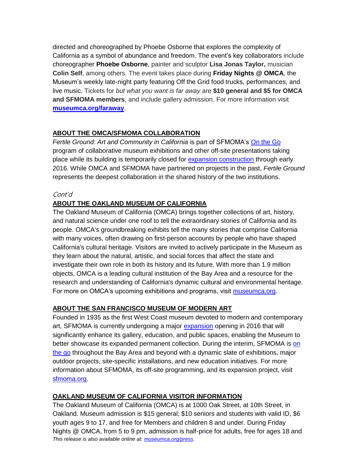directed and choreographed by Phoebe Osborne that explores the complexity of California as a symbol of abundance and freedom. The event's key collaborators include choreographer **Phoebe Osborne**, painter and sculptor **Lisa Jonas Taylor,** musician **Colin Self**, among others. The event takes place during **Friday Nights @ OMCA**, the Museum's weekly late-night party featuring Off the Grid food trucks, performances, and live music. Tickets for *but what you want is far away* are **\$10 general and \$5 for OMCA and SFMOMA members**, and include gallery admission. For more information visit **[museumca.org/faraway](file://munch/Marketing/PR%20SHARED/EXHIBITIONS/exhibitions%20fy15/Fertile%20Ground%20(OMCA)/museumca.org/faraway)**.

# **ABOUT THE OMCA/SFMOMA COLLABORATION**

*Fertile Ground: Art and Community in California* is part of SFMOMA's [On the Go](http://www.sfmoma.org/about/press/press_news/releases/932) program of collaborative museum exhibitions and other off-site presentations taking place while its building is temporarily closed for [expansion construction](http://www.sfmoma.org/about/press/press_news/releases/905) through early 2016. While OMCA and SFMOMA have partnered on projects in the past, *Fertile Ground* represents the deepest collaboration in the shared history of the two institutions.

#### Cont'd

# **ABOUT THE OAKLAND MUSEUM OF CALIFORNIA**

The Oakland Museum of California (OMCA) brings together collections of art, history, and natural science under one roof to tell the extraordinary stories of California and its people. OMCA's groundbreaking exhibits tell the many stories that comprise California with many voices, often drawing on first-person accounts by people who have shaped California's cultural heritage. Visitors are invited to actively participate in the Museum as they learn about the natural, artistic, and social forces that affect the state and investigate their own role in both its history and its future. With more than 1.9 million objects, OMCA is a leading cultural institution of the Bay Area and a resource for the research and understanding of California's dynamic cultural and environmental heritage. For more on OMCA's upcoming exhibitions and programs, visit [museumca.org.](file://munch/Marketing/PR%20SHARED/chaskell/AppData/Local/Microsoft/Windows/AppData/Local/Temp/museumca.org)

# **ABOUT THE SAN FRANCISCO MUSEUM OF MODERN ART**

Founded in 1935 as the first West Coast museum devoted to modern and contemporary art, SFMOMA is currently undergoing a major [expansion](http://www.sfmoma.org/about/press/press_news/releases/905) opening in 2016 that will significantly enhance its gallery, education, and public spaces, enabling the Museum to better showcase its expanded permanent collection. During the interim, SFMOMA is [on](http://www.sfmoma.org/about/press/press_news/releases/932)  [the go](http://www.sfmoma.org/about/press/press_news/releases/932) throughout the Bay Area and beyond with a dynamic slate of exhibitions, major outdoor projects, site-specific installations, and new education initiatives. For more information about SFMOMA, its off-site programming, and its expansion project, visit [sfmoma.org.](http://sfmoma.org/)

# **OAKLAND MUSEUM OF CALIFORNIA VISITOR INFORMATION**

*This release is also available online at[: museumca.org/press.](http://www.museumca.org/press)* The Oakland Museum of California (OMCA) is at 1000 Oak Street, at 10th Street, in Oakland. Museum admission is \$15 general; \$10 seniors and students with valid ID, \$6 youth ages 9 to 17, and free for Members and children 8 and under. During Friday Nights @ OMCA, from 5 to 9 pm, admission is half-price for adults, free for ages 18 and